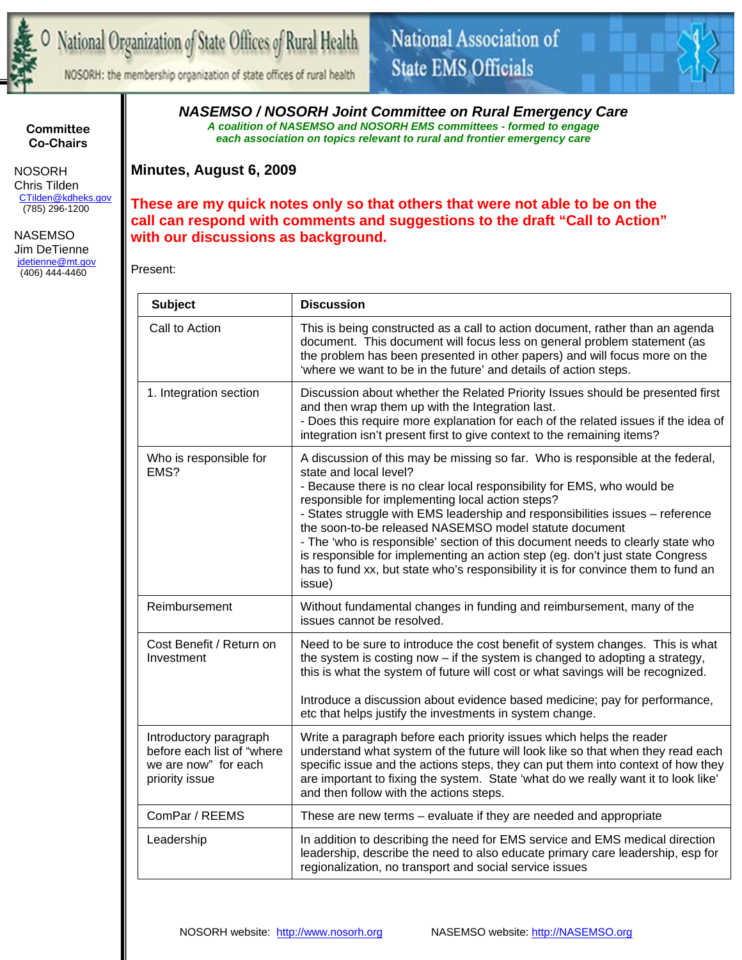

NOSORH: the membership organization of state offices of rural health



**Committee Co-Chairs** 

 NOSORH Chris Tilden CTilden@kdheks.gov (785) 296-1200

 NASEMSO Jim DeTienne jdetienne@mt.gov (406) 444-4460

*NASEMSO / NOSORH Joint Committee on Rural Emergency Care A coalition of NASEMSO and NOSORH EMS committees - formed to engage each association on topics relevant to rural and frontier emergency care* 

**Minutes, August 6, 2009** 

**These are my quick notes only so that others that were not able to be on the call can respond with comments and suggestions to the draft "Call to Action" with our discussions as background.** 

Present:

| <b>Subject</b>                                                                                  | <b>Discussion</b>                                                                                                                                                                                                                                                                                                                                                                                                                                                                                                                                                                                                                                   |
|-------------------------------------------------------------------------------------------------|-----------------------------------------------------------------------------------------------------------------------------------------------------------------------------------------------------------------------------------------------------------------------------------------------------------------------------------------------------------------------------------------------------------------------------------------------------------------------------------------------------------------------------------------------------------------------------------------------------------------------------------------------------|
| Call to Action                                                                                  | This is being constructed as a call to action document, rather than an agenda<br>document. This document will focus less on general problem statement (as<br>the problem has been presented in other papers) and will focus more on the<br>'where we want to be in the future' and details of action steps.                                                                                                                                                                                                                                                                                                                                         |
| 1. Integration section                                                                          | Discussion about whether the Related Priority Issues should be presented first<br>and then wrap them up with the Integration last.<br>- Does this require more explanation for each of the related issues if the idea of<br>integration isn't present first to give context to the remaining items?                                                                                                                                                                                                                                                                                                                                                 |
| Who is responsible for<br>EMS?                                                                  | A discussion of this may be missing so far. Who is responsible at the federal,<br>state and local level?<br>- Because there is no clear local responsibility for EMS, who would be<br>responsible for implementing local action steps?<br>- States struggle with EMS leadership and responsibilities issues - reference<br>the soon-to-be released NASEMSO model statute document<br>- The 'who is responsible' section of this document needs to clearly state who<br>is responsible for implementing an action step (eg. don't just state Congress<br>has to fund xx, but state who's responsibility it is for convince them to fund an<br>issue) |
| Reimbursement                                                                                   | Without fundamental changes in funding and reimbursement, many of the<br>issues cannot be resolved.                                                                                                                                                                                                                                                                                                                                                                                                                                                                                                                                                 |
| Cost Benefit / Return on<br>Investment                                                          | Need to be sure to introduce the cost benefit of system changes. This is what<br>the system is costing now - if the system is changed to adopting a strategy,<br>this is what the system of future will cost or what savings will be recognized.                                                                                                                                                                                                                                                                                                                                                                                                    |
|                                                                                                 | Introduce a discussion about evidence based medicine; pay for performance,<br>etc that helps justify the investments in system change.                                                                                                                                                                                                                                                                                                                                                                                                                                                                                                              |
| Introductory paragraph<br>before each list of "where"<br>we are now" for each<br>priority issue | Write a paragraph before each priority issues which helps the reader<br>understand what system of the future will look like so that when they read each<br>specific issue and the actions steps, they can put them into context of how they<br>are important to fixing the system. State 'what do we really want it to look like'<br>and then follow with the actions steps.                                                                                                                                                                                                                                                                        |
| ComPar / REEMS                                                                                  | These are new terms – evaluate if they are needed and appropriate                                                                                                                                                                                                                                                                                                                                                                                                                                                                                                                                                                                   |
| Leadership                                                                                      | In addition to describing the need for EMS service and EMS medical direction<br>leadership, describe the need to also educate primary care leadership, esp for<br>regionalization, no transport and social service issues                                                                                                                                                                                                                                                                                                                                                                                                                           |